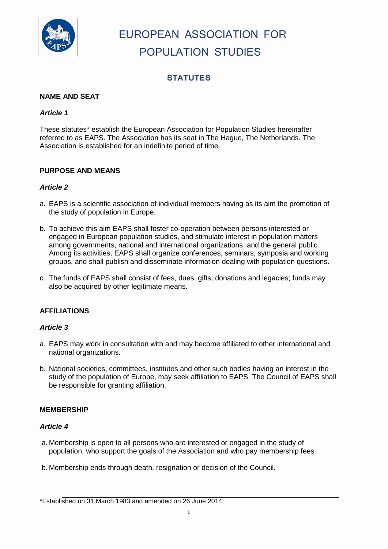

# EUROPEAN ASSOCIATION FOR POPULATION STUDIES

## **STATUTES**

## **NAME AND SEAT**

### *Article 1*

These statutes\* establish the European Association for Population Studies hereinafter referred to as EAPS. The Association has its seat in The Hague, The Netherlands. The Association is established for an indefinite period of time.

#### **PURPOSE AND MEANS**

#### *Article 2*

- a. EAPS is a scientific association of individual members having as its aim the promotion of the study of population in Europe.
- b. To achieve this aim EAPS shall foster co-operation between persons interested or engaged in European population studies, and stimulate interest in population matters among governments, national and international organizations, and the general public. Among its activities, EAPS shall organize conferences, seminars, symposia and working groups, and shall publish and disseminate information dealing with population questions.
- c. The funds of EAPS shall consist of fees, dues, gifts, donations and legacies; funds may also be acquired by other legitimate means.

## **AFFILIATIONS**

#### *Article 3*

- a. EAPS may work in consultation with and may become affiliated to other international and national organizations.
- b. National societies, committees, institutes and other such bodies having an interest in the study of the population of Europe, may seek affiliation to EAPS. The Council of EAPS shall be responsible for granting affiliation.

#### **MEMBERSHIP**

#### *Article 4*

- a. Membership is open to all persons who are interested or engaged in the study of population, who support the goals of the Association and who pay membership fees.
- b. Membership ends through death, resignation or decision of the Council.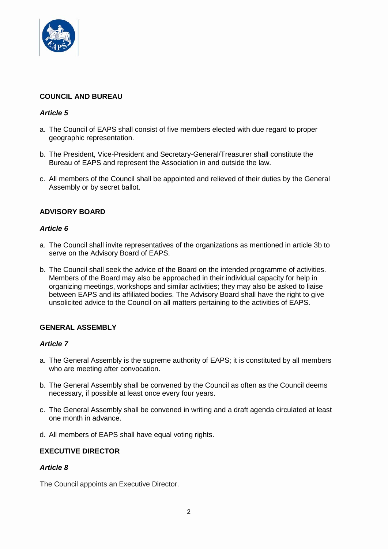

## **COUNCIL AND BUREAU**

#### *Article 5*

- a. The Council of EAPS shall consist of five members elected with due regard to proper geographic representation.
- b. The President, Vice-President and Secretary-General/Treasurer shall constitute the Bureau of EAPS and represent the Association in and outside the law.
- c. All members of the Council shall be appointed and relieved of their duties by the General Assembly or by secret ballot.

## **ADVISORY BOARD**

#### *Article 6*

- a. The Council shall invite representatives of the organizations as mentioned in article 3b to serve on the Advisory Board of EAPS.
- b. The Council shall seek the advice of the Board on the intended programme of activities. Members of the Board may also be approached in their individual capacity for help in organizing meetings, workshops and similar activities; they may also be asked to liaise between EAPS and its affiliated bodies. The Advisory Board shall have the right to give unsolicited advice to the Council on all matters pertaining to the activities of EAPS.

## **GENERAL ASSEMBLY**

#### *Article 7*

- a. The General Assembly is the supreme authority of EAPS; it is constituted by all members who are meeting after convocation.
- b. The General Assembly shall be convened by the Council as often as the Council deems necessary, if possible at least once every four years.
- c. The General Assembly shall be convened in writing and a draft agenda circulated at least one month in advance.
- d. All members of EAPS shall have equal voting rights.

#### **EXECUTIVE DIRECTOR**

#### *Article 8*

The Council appoints an Executive Director.